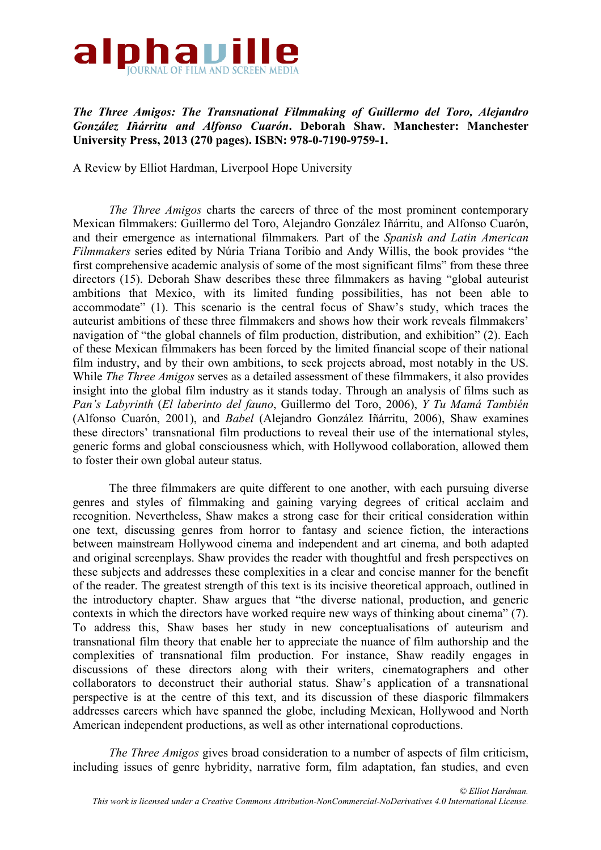

*The Three Amigos: The Transnational Filmmaking of Guillermo del Toro, Alejandro González Iñárritu and Alfonso Cuarón***. Deborah Shaw. Manchester: Manchester University Press, 2013 (270 pages). ISBN: 978-0-7190-9759-1.**

A Review by Elliot Hardman, Liverpool Hope University

*The Three Amigos* charts the careers of three of the most prominent contemporary Mexican filmmakers: Guillermo del Toro, Alejandro González Iñárritu, and Alfonso Cuarón, and their emergence as international filmmakers*.* Part of the *Spanish and Latin American Filmmakers* series edited by Núria Triana Toribio and Andy Willis, the book provides "the first comprehensive academic analysis of some of the most significant films" from these three directors (15). Deborah Shaw describes these three filmmakers as having "global auteurist ambitions that Mexico, with its limited funding possibilities, has not been able to accommodate" (1). This scenario is the central focus of Shaw's study, which traces the auteurist ambitions of these three filmmakers and shows how their work reveals filmmakers' navigation of "the global channels of film production, distribution, and exhibition" (2). Each of these Mexican filmmakers has been forced by the limited financial scope of their national film industry, and by their own ambitions, to seek projects abroad, most notably in the US. While *The Three Amigos* serves as a detailed assessment of these filmmakers, it also provides insight into the global film industry as it stands today. Through an analysis of films such as *Pan's Labyrinth* (*El laberinto del fauno*, Guillermo del Toro, 2006), *Y Tu Mamá También* (Alfonso Cuarón, 2001), and *Babel* (Alejandro González Iñárritu, 2006), Shaw examines these directors' transnational film productions to reveal their use of the international styles, generic forms and global consciousness which, with Hollywood collaboration, allowed them to foster their own global auteur status.

The three filmmakers are quite different to one another, with each pursuing diverse genres and styles of filmmaking and gaining varying degrees of critical acclaim and recognition. Nevertheless, Shaw makes a strong case for their critical consideration within one text, discussing genres from horror to fantasy and science fiction, the interactions between mainstream Hollywood cinema and independent and art cinema, and both adapted and original screenplays. Shaw provides the reader with thoughtful and fresh perspectives on these subjects and addresses these complexities in a clear and concise manner for the benefit of the reader. The greatest strength of this text is its incisive theoretical approach, outlined in the introductory chapter. Shaw argues that "the diverse national, production, and generic contexts in which the directors have worked require new ways of thinking about cinema" (7). To address this, Shaw bases her study in new conceptualisations of auteurism and transnational film theory that enable her to appreciate the nuance of film authorship and the complexities of transnational film production. For instance, Shaw readily engages in discussions of these directors along with their writers, cinematographers and other collaborators to deconstruct their authorial status. Shaw's application of a transnational perspective is at the centre of this text, and its discussion of these diasporic filmmakers addresses careers which have spanned the globe, including Mexican, Hollywood and North American independent productions, as well as other international coproductions.

*The Three Amigos* gives broad consideration to a number of aspects of film criticism, including issues of genre hybridity, narrative form, film adaptation, fan studies, and even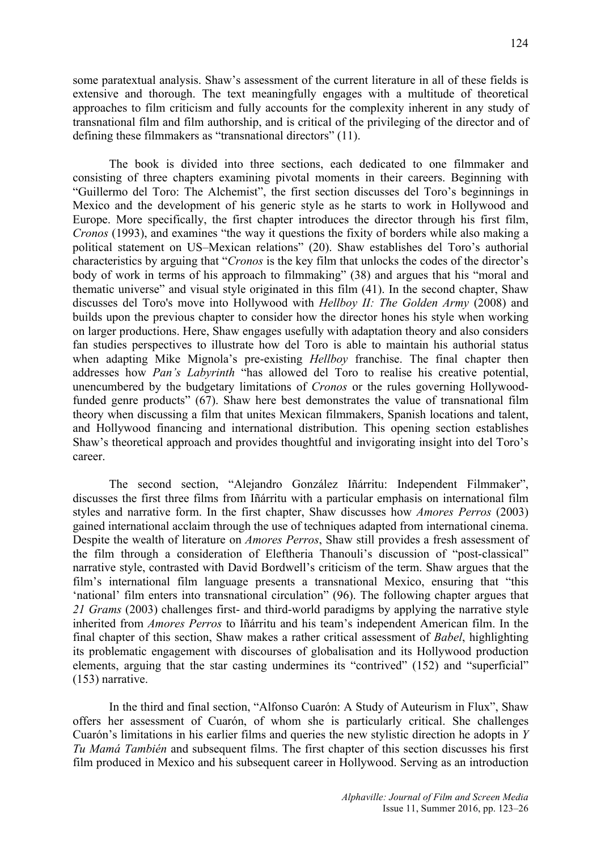some paratextual analysis. Shaw's assessment of the current literature in all of these fields is extensive and thorough. The text meaningfully engages with a multitude of theoretical approaches to film criticism and fully accounts for the complexity inherent in any study of transnational film and film authorship, and is critical of the privileging of the director and of defining these filmmakers as "transnational directors" (11).

The book is divided into three sections, each dedicated to one filmmaker and consisting of three chapters examining pivotal moments in their careers. Beginning with "Guillermo del Toro: The Alchemist", the first section discusses del Toro's beginnings in Mexico and the development of his generic style as he starts to work in Hollywood and Europe. More specifically, the first chapter introduces the director through his first film, *Cronos* (1993), and examines "the way it questions the fixity of borders while also making a political statement on US–Mexican relations" (20). Shaw establishes del Toro's authorial characteristics by arguing that "*Cronos* is the key film that unlocks the codes of the director's body of work in terms of his approach to filmmaking" (38) and argues that his "moral and thematic universe" and visual style originated in this film (41). In the second chapter, Shaw discusses del Toro's move into Hollywood with *Hellboy II: The Golden Army* (2008) and builds upon the previous chapter to consider how the director hones his style when working on larger productions. Here, Shaw engages usefully with adaptation theory and also considers fan studies perspectives to illustrate how del Toro is able to maintain his authorial status when adapting Mike Mignola's pre-existing *Hellboy* franchise. The final chapter then addresses how *Pan's Labyrinth* "has allowed del Toro to realise his creative potential, unencumbered by the budgetary limitations of *Cronos* or the rules governing Hollywoodfunded genre products" (67). Shaw here best demonstrates the value of transnational film theory when discussing a film that unites Mexican filmmakers, Spanish locations and talent, and Hollywood financing and international distribution. This opening section establishes Shaw's theoretical approach and provides thoughtful and invigorating insight into del Toro's career.

The second section, "Alejandro González Iñárritu: Independent Filmmaker", discusses the first three films from Iñárritu with a particular emphasis on international film styles and narrative form. In the first chapter, Shaw discusses how *Amores Perros* (2003) gained international acclaim through the use of techniques adapted from international cinema. Despite the wealth of literature on *Amores Perros*, Shaw still provides a fresh assessment of the film through a consideration of Eleftheria Thanouli's discussion of "post-classical" narrative style, contrasted with David Bordwell's criticism of the term. Shaw argues that the film's international film language presents a transnational Mexico, ensuring that "this 'national' film enters into transnational circulation" (96). The following chapter argues that *21 Grams* (2003) challenges first- and third-world paradigms by applying the narrative style inherited from *Amores Perros* to Iñárritu and his team's independent American film. In the final chapter of this section, Shaw makes a rather critical assessment of *Babel*, highlighting its problematic engagement with discourses of globalisation and its Hollywood production elements, arguing that the star casting undermines its "contrived" (152) and "superficial" (153) narrative.

In the third and final section, "Alfonso Cuarón: A Study of Auteurism in Flux", Shaw offers her assessment of Cuarón, of whom she is particularly critical. She challenges Cuarón's limitations in his earlier films and queries the new stylistic direction he adopts in *Y Tu Mamá También* and subsequent films. The first chapter of this section discusses his first film produced in Mexico and his subsequent career in Hollywood. Serving as an introduction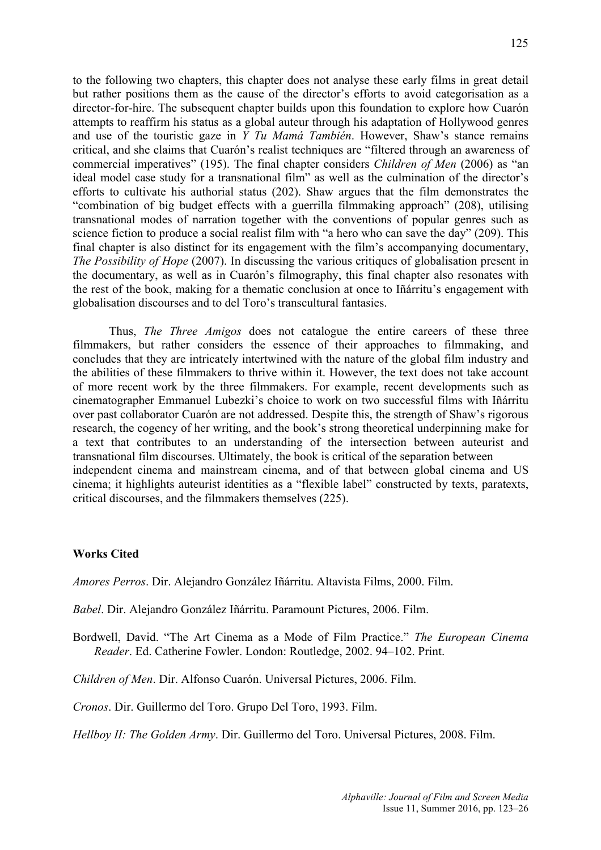to the following two chapters, this chapter does not analyse these early films in great detail but rather positions them as the cause of the director's efforts to avoid categorisation as a director-for-hire. The subsequent chapter builds upon this foundation to explore how Cuarón attempts to reaffirm his status as a global auteur through his adaptation of Hollywood genres and use of the touristic gaze in *Y Tu Mamá También*. However, Shaw's stance remains critical, and she claims that Cuarón's realist techniques are "filtered through an awareness of commercial imperatives" (195). The final chapter considers *Children of Men* (2006) as "an ideal model case study for a transnational film" as well as the culmination of the director's efforts to cultivate his authorial status (202). Shaw argues that the film demonstrates the "combination of big budget effects with a guerrilla filmmaking approach" (208), utilising transnational modes of narration together with the conventions of popular genres such as science fiction to produce a social realist film with "a hero who can save the day" (209). This final chapter is also distinct for its engagement with the film's accompanying documentary, *The Possibility of Hope* (2007). In discussing the various critiques of globalisation present in the documentary, as well as in Cuarón's filmography, this final chapter also resonates with the rest of the book, making for a thematic conclusion at once to Iñárritu's engagement with globalisation discourses and to del Toro's transcultural fantasies.

Thus, *The Three Amigos* does not catalogue the entire careers of these three filmmakers, but rather considers the essence of their approaches to filmmaking, and concludes that they are intricately intertwined with the nature of the global film industry and the abilities of these filmmakers to thrive within it. However, the text does not take account of more recent work by the three filmmakers. For example, recent developments such as cinematographer Emmanuel Lubezki's choice to work on two successful films with Iñárritu over past collaborator Cuarón are not addressed. Despite this, the strength of Shaw's rigorous research, the cogency of her writing, and the book's strong theoretical underpinning make for a text that contributes to an understanding of the intersection between auteurist and transnational film discourses. Ultimately, the book is critical of the separation between independent cinema and mainstream cinema, and of that between global cinema and US cinema; it highlights auteurist identities as a "flexible label" constructed by texts, paratexts, critical discourses, and the filmmakers themselves (225).

## **Works Cited**

*Amores Perros*. Dir. Alejandro González Iñárritu. Altavista Films, 2000. Film.

*Babel*. Dir. Alejandro González Iñárritu. Paramount Pictures, 2006. Film.

Bordwell, David. "The Art Cinema as a Mode of Film Practice." *The European Cinema Reader*. Ed. Catherine Fowler. London: Routledge, 2002. 94–102. Print.

*Children of Men*. Dir. Alfonso Cuarón. Universal Pictures, 2006. Film.

*Cronos*. Dir. Guillermo del Toro. Grupo Del Toro, 1993. Film.

*Hellboy II: The Golden Army*. Dir. Guillermo del Toro. Universal Pictures, 2008. Film.